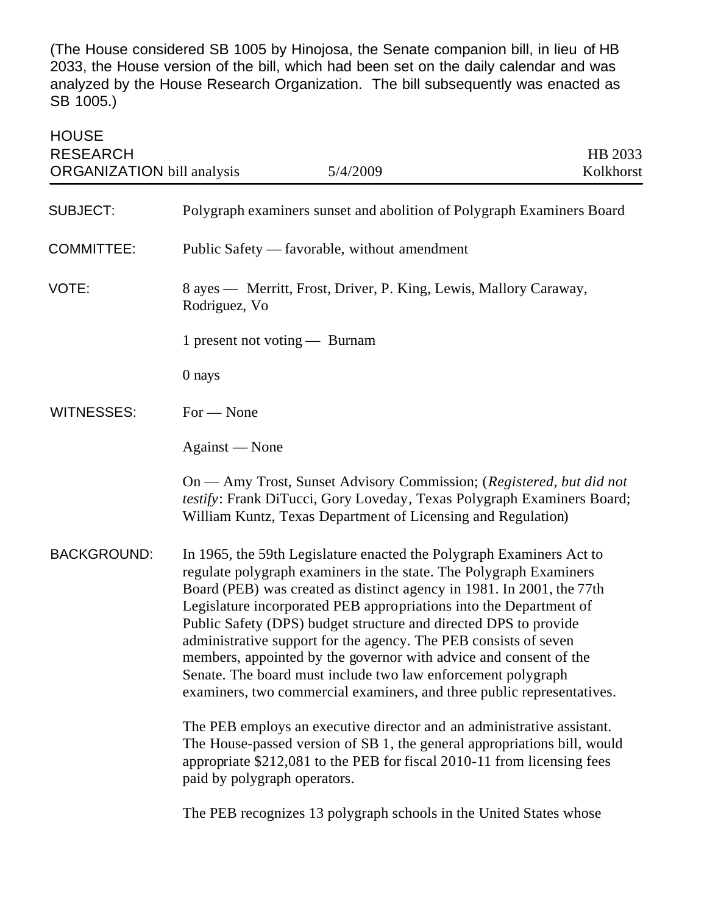(The House considered SB 1005 by Hinojosa, the Senate companion bill, in lieu of HB 2033, the House version of the bill, which had been set on the daily calendar and was analyzed by the House Research Organization. The bill subsequently was enacted as SB 1005.)

| <b>HOUSE</b><br><b>RESEARCH</b><br><b>ORGANIZATION</b> bill analysis | 5/4/2009                                                                                                                                                                                                                                                                                                                                                                                                                                                                                                                                                                                                                                         | HB 2033<br>Kolkhorst |  |
|----------------------------------------------------------------------|--------------------------------------------------------------------------------------------------------------------------------------------------------------------------------------------------------------------------------------------------------------------------------------------------------------------------------------------------------------------------------------------------------------------------------------------------------------------------------------------------------------------------------------------------------------------------------------------------------------------------------------------------|----------------------|--|
| <b>SUBJECT:</b>                                                      | Polygraph examiners sunset and abolition of Polygraph Examiners Board                                                                                                                                                                                                                                                                                                                                                                                                                                                                                                                                                                            |                      |  |
| <b>COMMITTEE:</b>                                                    | Public Safety — favorable, without amendment                                                                                                                                                                                                                                                                                                                                                                                                                                                                                                                                                                                                     |                      |  |
| VOTE:                                                                | 8 ayes — Merritt, Frost, Driver, P. King, Lewis, Mallory Caraway,<br>Rodriguez, Vo                                                                                                                                                                                                                                                                                                                                                                                                                                                                                                                                                               |                      |  |
|                                                                      | 1 present not voting — Burnam                                                                                                                                                                                                                                                                                                                                                                                                                                                                                                                                                                                                                    |                      |  |
|                                                                      | 0 nays                                                                                                                                                                                                                                                                                                                                                                                                                                                                                                                                                                                                                                           |                      |  |
| <b>WITNESSES:</b>                                                    | $For - None$                                                                                                                                                                                                                                                                                                                                                                                                                                                                                                                                                                                                                                     |                      |  |
|                                                                      | Against — None                                                                                                                                                                                                                                                                                                                                                                                                                                                                                                                                                                                                                                   |                      |  |
|                                                                      | On — Amy Trost, Sunset Advisory Commission; (Registered, but did not<br>testify: Frank DiTucci, Gory Loveday, Texas Polygraph Examiners Board;<br>William Kuntz, Texas Department of Licensing and Regulation)                                                                                                                                                                                                                                                                                                                                                                                                                                   |                      |  |
| <b>BACKGROUND:</b>                                                   | In 1965, the 59th Legislature enacted the Polygraph Examiners Act to<br>regulate polygraph examiners in the state. The Polygraph Examiners<br>Board (PEB) was created as distinct agency in 1981. In 2001, the 77th<br>Legislature incorporated PEB appropriations into the Department of<br>Public Safety (DPS) budget structure and directed DPS to provide<br>administrative support for the agency. The PEB consists of seven<br>members, appointed by the governor with advice and consent of the<br>Senate. The board must include two law enforcement polygraph<br>examiners, two commercial examiners, and three public representatives. |                      |  |
|                                                                      | The PEB employs an executive director and an administrative assistant.<br>The House-passed version of SB 1, the general appropriations bill, would<br>appropriate \$212,081 to the PEB for fiscal 2010-11 from licensing fees<br>paid by polygraph operators.                                                                                                                                                                                                                                                                                                                                                                                    |                      |  |
|                                                                      |                                                                                                                                                                                                                                                                                                                                                                                                                                                                                                                                                                                                                                                  |                      |  |

The PEB recognizes 13 polygraph schools in the United States whose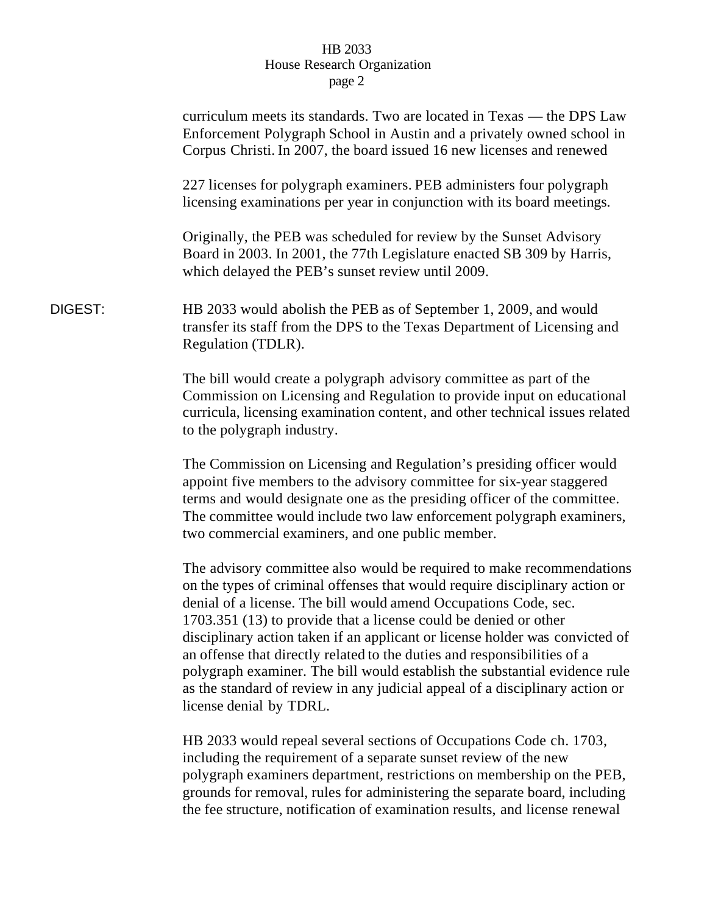|         | curriculum meets its standards. Two are located in Texas — the DPS Law<br>Enforcement Polygraph School in Austin and a privately owned school in<br>Corpus Christi. In 2007, the board issued 16 new licenses and renewed                                                                                                                                                                                                                                                                                                                                                                                                                         |
|---------|---------------------------------------------------------------------------------------------------------------------------------------------------------------------------------------------------------------------------------------------------------------------------------------------------------------------------------------------------------------------------------------------------------------------------------------------------------------------------------------------------------------------------------------------------------------------------------------------------------------------------------------------------|
|         | 227 licenses for polygraph examiners. PEB administers four polygraph<br>licensing examinations per year in conjunction with its board meetings.                                                                                                                                                                                                                                                                                                                                                                                                                                                                                                   |
|         | Originally, the PEB was scheduled for review by the Sunset Advisory<br>Board in 2003. In 2001, the 77th Legislature enacted SB 309 by Harris,<br>which delayed the PEB's sunset review until 2009.                                                                                                                                                                                                                                                                                                                                                                                                                                                |
| DIGEST: | HB 2033 would abolish the PEB as of September 1, 2009, and would<br>transfer its staff from the DPS to the Texas Department of Licensing and<br>Regulation (TDLR).                                                                                                                                                                                                                                                                                                                                                                                                                                                                                |
|         | The bill would create a polygraph advisory committee as part of the<br>Commission on Licensing and Regulation to provide input on educational<br>curricula, licensing examination content, and other technical issues related<br>to the polygraph industry.                                                                                                                                                                                                                                                                                                                                                                                       |
|         | The Commission on Licensing and Regulation's presiding officer would<br>appoint five members to the advisory committee for six-year staggered<br>terms and would designate one as the presiding officer of the committee.<br>The committee would include two law enforcement polygraph examiners,<br>two commercial examiners, and one public member.                                                                                                                                                                                                                                                                                             |
|         | The advisory committee also would be required to make recommendations<br>on the types of criminal offenses that would require disciplinary action or<br>denial of a license. The bill would amend Occupations Code, sec.<br>1703.351 (13) to provide that a license could be denied or other<br>disciplinary action taken if an applicant or license holder was convicted of<br>an offense that directly related to the duties and responsibilities of a<br>polygraph examiner. The bill would establish the substantial evidence rule<br>as the standard of review in any judicial appeal of a disciplinary action or<br>license denial by TDRL. |
|         | HB 2033 would repeal several sections of Occupations Code ch. 1703,<br>including the requirement of a separate sunset review of the new<br>polygraph examiners department, restrictions on membership on the PEB,<br>grounds for removal, rules for administering the separate board, including<br>the fee structure, notification of examination results, and license renewal                                                                                                                                                                                                                                                                    |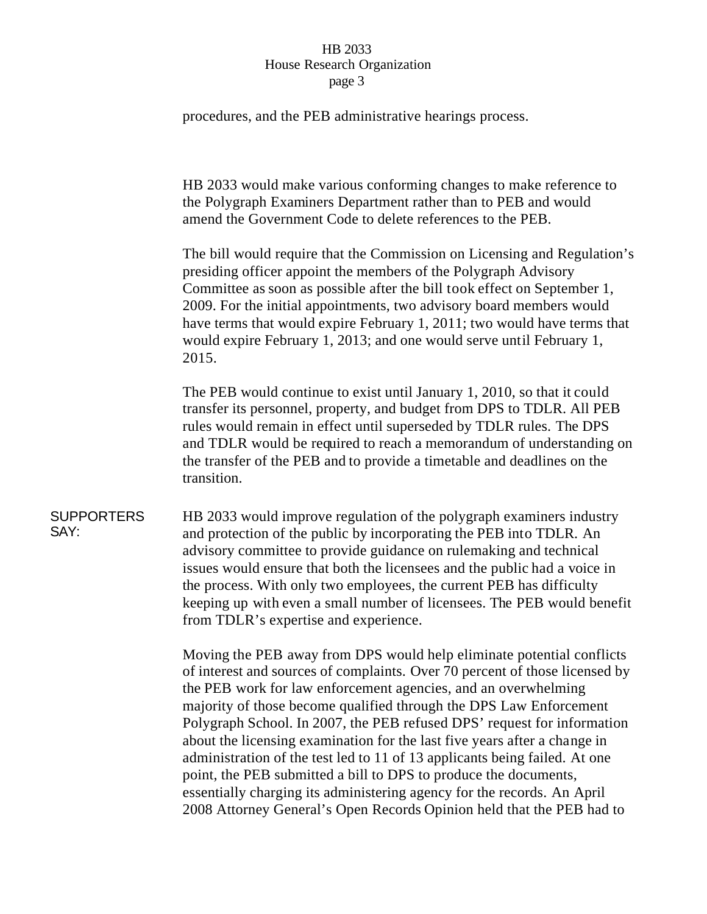procedures, and the PEB administrative hearings process.

HB 2033 would make various conforming changes to make reference to the Polygraph Examiners Department rather than to PEB and would amend the Government Code to delete references to the PEB.

The bill would require that the Commission on Licensing and Regulation's presiding officer appoint the members of the Polygraph Advisory Committee as soon as possible after the bill took effect on September 1, 2009. For the initial appointments, two advisory board members would have terms that would expire February 1, 2011; two would have terms that would expire February 1, 2013; and one would serve until February 1, 2015.

The PEB would continue to exist until January 1, 2010, so that it could transfer its personnel, property, and budget from DPS to TDLR. All PEB rules would remain in effect until superseded by TDLR rules. The DPS and TDLR would be required to reach a memorandum of understanding on the transfer of the PEB and to provide a timetable and deadlines on the transition.

#### **SUPPORTERS** SAY:

HB 2033 would improve regulation of the polygraph examiners industry and protection of the public by incorporating the PEB into TDLR. An advisory committee to provide guidance on rulemaking and technical issues would ensure that both the licensees and the public had a voice in the process. With only two employees, the current PEB has difficulty keeping up with even a small number of licensees. The PEB would benefit from TDLR's expertise and experience.

Moving the PEB away from DPS would help eliminate potential conflicts of interest and sources of complaints. Over 70 percent of those licensed by the PEB work for law enforcement agencies, and an overwhelming majority of those become qualified through the DPS Law Enforcement Polygraph School. In 2007, the PEB refused DPS' request for information about the licensing examination for the last five years after a change in administration of the test led to 11 of 13 applicants being failed. At one point, the PEB submitted a bill to DPS to produce the documents, essentially charging its administering agency for the records. An April 2008 Attorney General's Open Records Opinion held that the PEB had to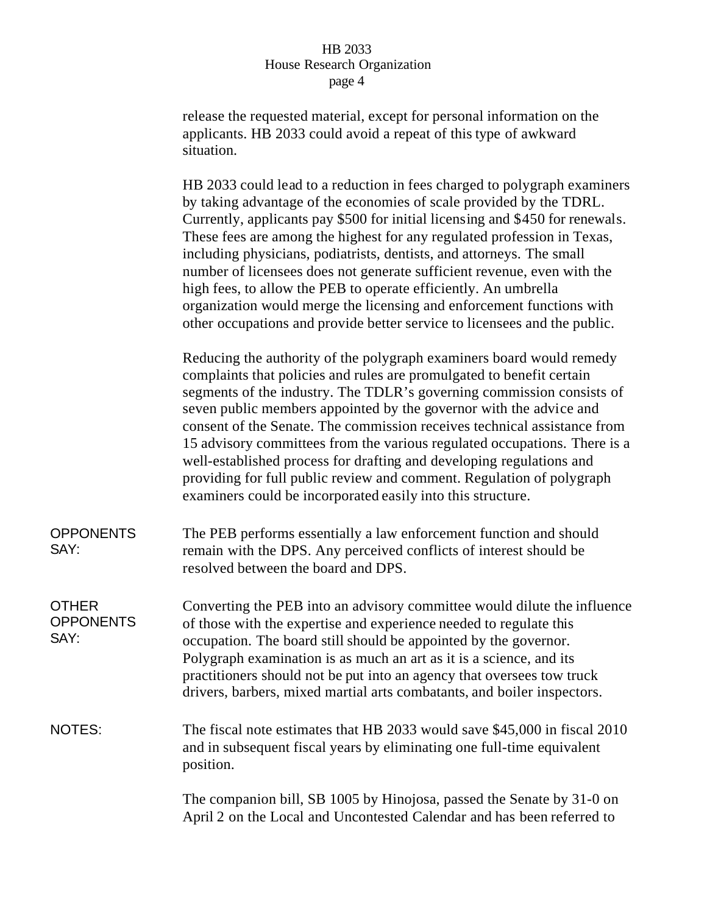release the requested material, except for personal information on the applicants. HB 2033 could avoid a repeat of this type of awkward situation.

HB 2033 could lead to a reduction in fees charged to polygraph examiners by taking advantage of the economies of scale provided by the TDRL. Currently, applicants pay \$500 for initial licensing and \$450 for renewals. These fees are among the highest for any regulated profession in Texas, including physicians, podiatrists, dentists, and attorneys. The small number of licensees does not generate sufficient revenue, even with the high fees, to allow the PEB to operate efficiently. An umbrella organization would merge the licensing and enforcement functions with other occupations and provide better service to licensees and the public.

Reducing the authority of the polygraph examiners board would remedy complaints that policies and rules are promulgated to benefit certain segments of the industry. The TDLR's governing commission consists of seven public members appointed by the governor with the advice and consent of the Senate. The commission receives technical assistance from 15 advisory committees from the various regulated occupations. There is a well-established process for drafting and developing regulations and providing for full public review and comment. Regulation of polygraph examiners could be incorporated easily into this structure.

| <b>OPPONENTS</b><br>SAY:                 | The PEB performs essentially a law enforcement function and should<br>remain with the DPS. Any perceived conflicts of interest should be<br>resolved between the board and DPS.                                                                                                                                                                                                                                                                |
|------------------------------------------|------------------------------------------------------------------------------------------------------------------------------------------------------------------------------------------------------------------------------------------------------------------------------------------------------------------------------------------------------------------------------------------------------------------------------------------------|
| <b>OTHER</b><br><b>OPPONENTS</b><br>SAY: | Converting the PEB into an advisory committee would dilute the influence<br>of those with the expertise and experience needed to regulate this<br>occupation. The board still should be appointed by the governor.<br>Polygraph examination is as much an art as it is a science, and its<br>practitioners should not be put into an agency that oversees tow truck<br>drivers, barbers, mixed martial arts combatants, and boiler inspectors. |
| NOTES:                                   | The fiscal note estimates that HB 2033 would save \$45,000 in fiscal 2010<br>and in subsequent fiscal years by eliminating one full-time equivalent<br>position.                                                                                                                                                                                                                                                                               |
|                                          | The companion bill, SB 1005 by Hinojosa, passed the Senate by 31-0 on<br>April 2 on the Local and Uncontested Calendar and has been referred to                                                                                                                                                                                                                                                                                                |